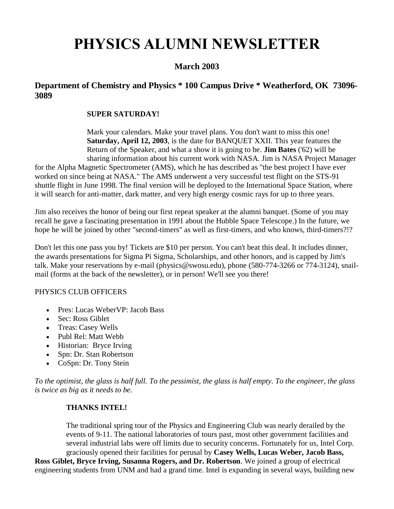# **PHYSICS ALUMNI NEWSLETTER**

# **March 2003**

# **Department of Chemistry and Physics \* 100 Campus Drive \* Weatherford, OK 73096- 3089**

## **SUPER SATURDAY!**

Mark your calendars. Make your travel plans. You don't want to miss this one! **Saturday, April 12, 2003**, is the date for BANQUET XXII. This year features the Return of the Speaker, and what a show it is going to be. **Jim Bates** ('62) will be sharing information about his current work with NASA. Jim is NASA Project Manager

for the Alpha Magnetic Spectrometer (AMS), which he has described as "the best project I have ever worked on since being at NASA." The AMS underwent a very successful test flight on the STS-91 shuttle flight in June 1998. The final version will be deployed to the International Space Station, where it will search for anti-matter, dark matter, and very high energy cosmic rays for up to three years.

Jim also receives the honor of being our first repeat speaker at the alumni banquet. (Some of you may recall he gave a fascinating presentation in 1991 about the Hubble Space Telescope.) In the future, we hope he will be joined by other "second-timers" as well as first-timers, and who knows, third-timers?!?

Don't let this one pass you by! Tickets are \$10 per person. You can't beat this deal. It includes dinner, the awards presentations for Sigma Pi Sigma, Scholarships, and other honors, and is capped by Jim's talk. Make your reservations by e-mail (physics@swosu.edu), phone (580-774-3266 or 774-3124), snailmail (forms at the back of the newsletter), or in person! We'll see you there!

## PHYSICS CLUB OFFICERS

- Pres: Lucas WeberVP: Jacob Bass
- Sec: Ross Giblet
- Treas: Casey Wells
- Publ Rel: Matt Webb
- Historian: Bryce Irving
- Spn: Dr. Stan Robertson
- CoSpn: Dr. Tony Stein

*To the optimist, the glass is half full. To the pessimist, the glass is half empty. To the engineer, the glass is twice as big as it needs to be.*

## **THANKS INTEL!**

The traditional spring tour of the Physics and Engineering Club was nearly derailed by the events of 9-11. The national laboratories of tours past, most other government facilities and several industrial labs were off limits due to security concerns. Fortunately for us, Intel Corp. graciously opened their facilities for perusal by **Casey Wells, Lucas Weber, Jacob Bass,** 

**Ross Giblet, Bryce Irving, Susanna Rogers, and Dr. Robertson**. We joined a group of electrical engineering students from UNM and had a grand time. Intel is expanding in several ways, building new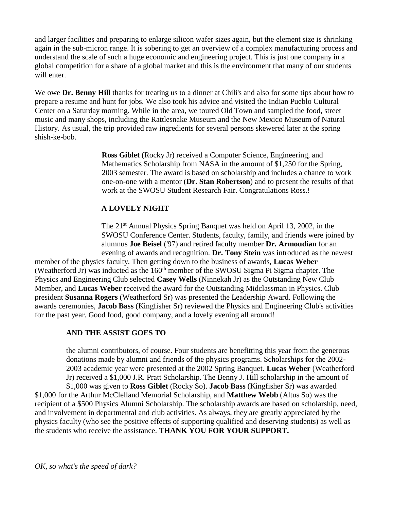and larger facilities and preparing to enlarge silicon wafer sizes again, but the element size is shrinking again in the sub-micron range. It is sobering to get an overview of a complex manufacturing process and understand the scale of such a huge economic and engineering project. This is just one company in a global competition for a share of a global market and this is the environment that many of our students will enter.

We owe **Dr. Benny Hill** thanks for treating us to a dinner at Chili's and also for some tips about how to prepare a resume and hunt for jobs. We also took his advice and visited the Indian Pueblo Cultural Center on a Saturday morning. While in the area, we toured Old Town and sampled the food, street music and many shops, including the Rattlesnake Museum and the New Mexico Museum of Natural History. As usual, the trip provided raw ingredients for several persons skewered later at the spring shish-ke-bob.

> **Ross Giblet** (Rocky Jr) received a Computer Science, Engineering, and Mathematics Scholarship from NASA in the amount of \$1,250 for the Spring, 2003 semester. The award is based on scholarship and includes a chance to work one-on-one with a mentor (**Dr. Stan Robertson**) and to present the results of that work at the SWOSU Student Research Fair. Congratulations Ross.!

# **A LOVELY NIGHT**

The 21<sup>st</sup> Annual Physics Spring Banquet was held on April 13, 2002, in the SWOSU Conference Center. Students, faculty, family, and friends were joined by alumnus **Joe Beisel** ('97) and retired faculty member **Dr. Armoudian** for an evening of awards and recognition. **Dr. Tony Stein** was introduced as the newest

member of the physics faculty. Then getting down to the business of awards, **Lucas Weber** (Weatherford Jr) was inducted as the  $160<sup>th</sup>$  member of the SWOSU Sigma Pi Sigma chapter. The Physics and Engineering Club selected **Casey Wells** (Ninnekah Jr) as the Outstanding New Club Member, and **Lucas Weber** received the award for the Outstanding Midclassman in Physics. Club president **Susanna Rogers** (Weatherford Sr) was presented the Leadership Award. Following the awards ceremonies, **Jacob Bass** (Kingfisher Sr) reviewed the Physics and Engineering Club's activities for the past year. Good food, good company, and a lovely evening all around!

#### **AND THE ASSIST GOES TO**

the alumni contributors, of course. Four students are benefitting this year from the generous donations made by alumni and friends of the physics programs. Scholarships for the 2002- 2003 academic year were presented at the 2002 Spring Banquet. **Lucas Weber** (Weatherford Jr) received a \$1,000 J.R. Pratt Scholarship. The Benny J. Hill scholarship in the amount of \$1,000 was given to **Ross Giblet** (Rocky So). **Jacob Bass** (Kingfisher Sr) was awarded \$1,000 for the Arthur McClelland Memorial Scholarship, and **Matthew Webb** (Altus So) was the recipient of a \$500 Physics Alumni Scholarship. The scholarship awards are based on scholarship, need, and involvement in departmental and club activities. As always, they are greatly appreciated by the physics faculty (who see the positive effects of supporting qualified and deserving students) as well as the students who receive the assistance. **THANK YOU FOR YOUR SUPPORT.**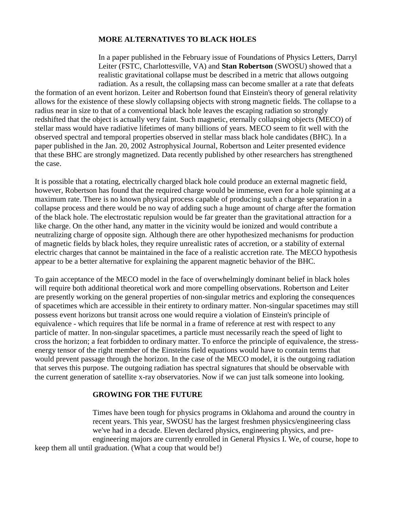#### **MORE ALTERNATIVES TO BLACK HOLES**

In a paper published in the February issue of Foundations of Physics Letters, Darryl Leiter (FSTC, Charlottesville, VA) and **Stan Robertson** (SWOSU) showed that a realistic gravitational collapse must be described in a metric that allows outgoing radiation. As a result, the collapsing mass can become smaller at a rate that defeats

the formation of an event horizon. Leiter and Robertson found that Einstein's theory of general relativity allows for the existence of these slowly collapsing objects with strong magnetic fields. The collapse to a radius near in size to that of a conventional black hole leaves the escaping radiation so strongly redshifted that the object is actually very faint. Such magnetic, eternally collapsing objects (MECO) of stellar mass would have radiative lifetimes of many billions of years. MECO seem to fit well with the observed spectral and temporal properties observed in stellar mass black hole candidates (BHC). In a paper published in the Jan. 20, 2002 Astrophysical Journal, Robertson and Leiter presented evidence that these BHC are strongly magnetized. Data recently published by other researchers has strengthened the case.

It is possible that a rotating, electrically charged black hole could produce an external magnetic field, however, Robertson has found that the required charge would be immense, even for a hole spinning at a maximum rate. There is no known physical process capable of producing such a charge separation in a collapse process and there would be no way of adding such a huge amount of charge after the formation of the black hole. The electrostatic repulsion would be far greater than the gravitational attraction for a like charge. On the other hand, any matter in the vicinity would be ionized and would contribute a neutralizing charge of opposite sign. Although there are other hypothesized mechanisms for production of magnetic fields by black holes, they require unrealistic rates of accretion, or a stability of external electric charges that cannot be maintained in the face of a realistic accretion rate. The MECO hypothesis appear to be a better alternative for explaining the apparent magnetic behavior of the BHC.

To gain acceptance of the MECO model in the face of overwhelmingly dominant belief in black holes will require both additional theoretical work and more compelling observations. Robertson and Leiter are presently working on the general properties of non-singular metrics and exploring the consequences of spacetimes which are accessible in their entirety to ordinary matter. Non-singular spacetimes may still possess event horizons but transit across one would require a violation of Einstein's principle of equivalence - which requires that life be normal in a frame of reference at rest with respect to any particle of matter. In non-singular spacetimes, a particle must necessarily reach the speed of light to cross the horizon; a feat forbidden to ordinary matter. To enforce the principle of equivalence, the stressenergy tensor of the right member of the Einsteins field equations would have to contain terms that would prevent passage through the horizon. In the case of the MECO model, it is the outgoing radiation that serves this purpose. The outgoing radiation has spectral signatures that should be observable with the current generation of satellite x-ray observatories. Now if we can just talk someone into looking.

#### **GROWING FOR THE FUTURE**

Times have been tough for physics programs in Oklahoma and around the country in recent years. This year, SWOSU has the largest freshmen physics/engineering class we've had in a decade. Eleven declared physics, engineering physics, and preengineering majors are currently enrolled in General Physics I. We, of course, hope to keep them all until graduation. (What a coup that would be!)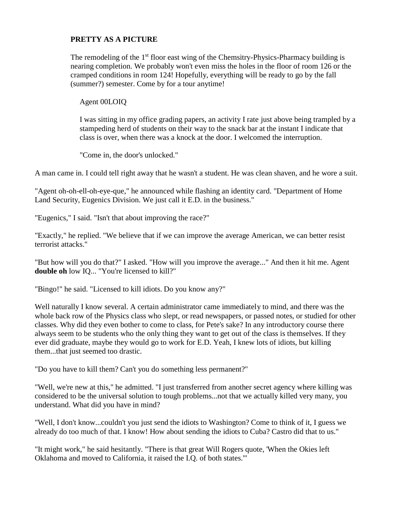# **PRETTY AS A PICTURE**

The remodeling of the 1<sup>st</sup> floor east wing of the Chemsitry-Physics-Pharmacy building is nearing completion. We probably won't even miss the holes in the floor of room 126 or the cramped conditions in room 124! Hopefully, everything will be ready to go by the fall (summer?) semester. Come by for a tour anytime!

Agent 00LOIQ

I was sitting in my office grading papers, an activity I rate just above being trampled by a stampeding herd of students on their way to the snack bar at the instant I indicate that class is over, when there was a knock at the door. I welcomed the interruption.

"Come in, the door's unlocked."

A man came in. I could tell right away that he wasn't a student. He was clean shaven, and he wore a suit.

"Agent oh-oh-ell-oh-eye-que," he announced while flashing an identity card. "Department of Home Land Security, Eugenics Division. We just call it E.D. in the business."

"Eugenics," I said. "Isn't that about improving the race?"

"Exactly," he replied. "We believe that if we can improve the average American, we can better resist terrorist attacks."

"But how will you do that?" I asked. "How will you improve the average..." And then it hit me. Agent **double oh** low IQ... "You're licensed to kill?"

"Bingo!" he said. "Licensed to kill idiots. Do you know any?"

Well naturally I know several. A certain administrator came immediately to mind, and there was the whole back row of the Physics class who slept, or read newspapers, or passed notes, or studied for other classes. Why did they even bother to come to class, for Pete's sake? In any introductory course there always seem to be students who the only thing they want to get out of the class is themselves. If they ever did graduate, maybe they would go to work for E.D. Yeah, I knew lots of idiots, but killing them...that just seemed too drastic.

"Do you have to kill them? Can't you do something less permanent?"

"Well, we're new at this," he admitted. "I just transferred from another secret agency where killing was considered to be the universal solution to tough problems...not that we actually killed very many, you understand. What did you have in mind?

"Well, I don't know...couldn't you just send the idiots to Washington? Come to think of it, I guess we already do too much of that. I know! How about sending the idiots to Cuba? Castro did that to us."

"It might work," he said hesitantly. "There is that great Will Rogers quote, 'When the Okies left Oklahoma and moved to California, it raised the I.Q. of both states.'"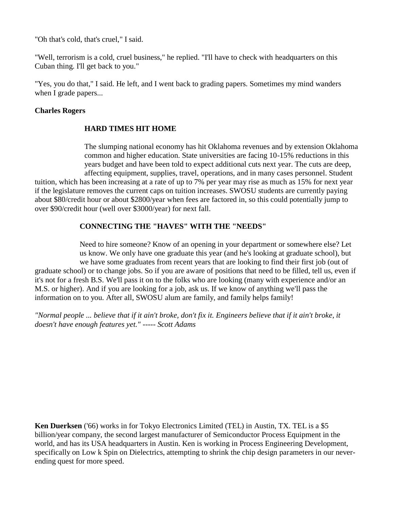"Oh that's cold, that's cruel," I said.

"Well, terrorism is a cold, cruel business," he replied. "I'll have to check with headquarters on this Cuban thing. I'll get back to you."

"Yes, you do that," I said. He left, and I went back to grading papers. Sometimes my mind wanders when I grade papers...

#### **Charles Rogers**

#### **HARD TIMES HIT HOME**

The slumping national economy has hit Oklahoma revenues and by extension Oklahoma common and higher education. State universities are facing 10-15% reductions in this years budget and have been told to expect additional cuts next year. The cuts are deep, affecting equipment, supplies, travel, operations, and in many cases personnel. Student

tuition, which has been increasing at a rate of up to 7% per year may rise as much as 15% for next year if the legislature removes the current caps on tuition increases. SWOSU students are currently paying about \$80/credit hour or about \$2800/year when fees are factored in, so this could potentially jump to over \$90/credit hour (well over \$3000/year) for next fall.

#### **CONNECTING THE "HAVES" WITH THE "NEEDS"**

Need to hire someone? Know of an opening in your department or somewhere else? Let us know. We only have one graduate this year (and he's looking at graduate school), but we have some graduates from recent years that are looking to find their first job (out of graduate school) or to change jobs. So if you are aware of positions that need to be filled, tell us, even if it's not for a fresh B.S. We'll pass it on to the folks who are looking (many with experience and/or an M.S. or higher). And if you are looking for a job, ask us. If we know of anything we'll pass the information on to you. After all, SWOSU alum are family, and family helps family!

*"Normal people ... believe that if it ain't broke, don't fix it. Engineers believe that if it ain't broke, it doesn't have enough features yet." ----- Scott Adams* 

**Ken Duerksen** ('66) works in for Tokyo Electronics Limited (TEL) in Austin, TX. TEL is a \$5 billion/year company, the second largest manufacturer of Semiconductor Process Equipment in the world, and has its USA headquarters in Austin. Ken is working in Process Engineering Development, specifically on Low k Spin on Dielectrics, attempting to shrink the chip design parameters in our neverending quest for more speed.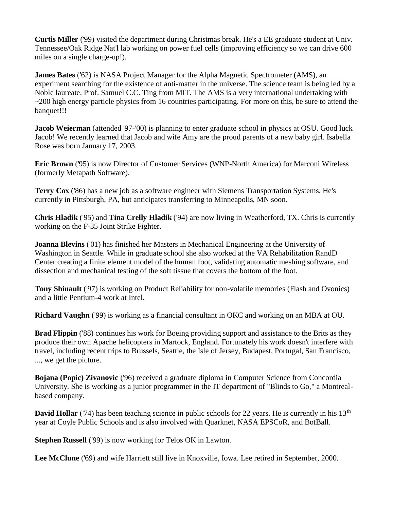**Curtis Miller** ('99) visited the department during Christmas break. He's a EE graduate student at Univ. Tennessee/Oak Ridge Nat'l lab working on power fuel cells (improving efficiency so we can drive 600 miles on a single charge-up!).

**James Bates** ('62) is NASA Project Manager for the Alpha Magnetic Spectrometer (AMS), an experiment searching for the existence of anti-matter in the universe. The science team is being led by a Noble laureate, Prof. Samuel C.C. Ting from MIT. The AMS is a very international undertaking with  $\sim$ 200 high energy particle physics from 16 countries participating. For more on this, be sure to attend the banquet!!!

**Jacob Weierman** (attended '97-'00) is planning to enter graduate school in physics at OSU. Good luck Jacob! We recently learned that Jacob and wife Amy are the proud parents of a new baby girl. Isabella Rose was born January 17, 2003.

**Eric Brown** ('95) is now Director of Customer Services (WNP-North America) for Marconi Wireless (formerly Metapath Software).

**Terry Cox** ('86) has a new job as a software engineer with Siemens Transportation Systems. He's currently in Pittsburgh, PA, but anticipates transferring to Minneapolis, MN soon.

**Chris Hladik** ('95) and **Tina Crelly Hladik** ('94) are now living in Weatherford, TX. Chris is currently working on the F-35 Joint Strike Fighter.

**Joanna Blevins** ('01) has finished her Masters in Mechanical Engineering at the University of Washington in Seattle. While in graduate school she also worked at the VA Rehabilitation RandD Center creating a finite element model of the human foot, validating automatic meshing software, and dissection and mechanical testing of the soft tissue that covers the bottom of the foot.

**Tony Shinault** ('97) is working on Product Reliability for non-volatile memories (Flash and Ovonics) and a little Pentium-4 work at Intel.

**Richard Vaughn** ('99) is working as a financial consultant in OKC and working on an MBA at OU.

**Brad Flippin** ('88) continues his work for Boeing providing support and assistance to the Brits as they produce their own Apache helicopters in Martock, England. Fortunately his work doesn't interfere with travel, including recent trips to Brussels, Seattle, the Isle of Jersey, Budapest, Portugal, San Francisco, ..., we get the picture.

**Bojana (Popic) Zivanovic** ('96) received a graduate diploma in Computer Science from Concordia University. She is working as a junior programmer in the IT department of "Blinds to Go," a Montrealbased company.

**David Hollar** ('74) has been teaching science in public schools for 22 years. He is currently in his 13<sup>th</sup> year at Coyle Public Schools and is also involved with Quarknet, NASA EPSCoR, and BotBall.

**Stephen Russell** ('99) is now working for Telos OK in Lawton.

**Lee McClune** ('69) and wife Harriett still live in Knoxville, Iowa. Lee retired in September, 2000.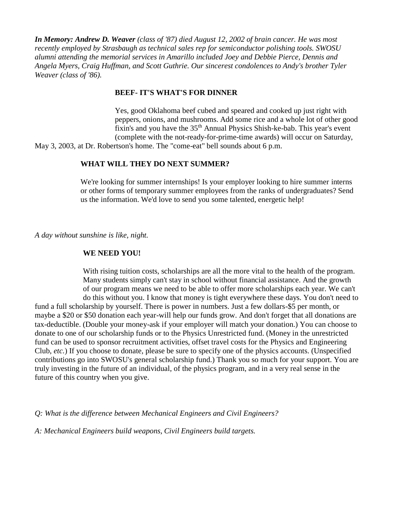*In Memory: Andrew D. Weaver (class of '87) died August 12, 2002 of brain cancer. He was most recently employed by Strasbaugh as technical sales rep for semiconductor polishing tools. SWOSU alumni attending the memorial services in Amarillo included Joey and Debbie Pierce, Dennis and Angela Myers, Craig Huffman, and Scott Guthrie. Our sincerest condolences to Andy's brother Tyler Weaver (class of '86).*

#### **BEEF- IT'S WHAT'S FOR DINNER**

Yes, good Oklahoma beef cubed and speared and cooked up just right with peppers, onions, and mushrooms. Add some rice and a whole lot of other good fixin's and you have the  $35<sup>th</sup>$  Annual Physics Shish-ke-bab. This year's event (complete with the not-ready-for-prime-time awards) will occur on Saturday,

May 3, 2003, at Dr. Robertson's home. The "come-eat" bell sounds about 6 p.m.

#### **WHAT WILL THEY DO NEXT SUMMER?**

We're looking for summer internships! Is your employer looking to hire summer interns or other forms of temporary summer employees from the ranks of undergraduates? Send us the information. We'd love to send you some talented, energetic help!

*A day without sunshine is like, night.*

#### **WE NEED YOU!**

With rising tuition costs, scholarships are all the more vital to the health of the program. Many students simply can't stay in school without financial assistance. And the growth of our program means we need to be able to offer more scholarships each year. We can't do this without you. I know that money is tight everywhere these days. You don't need to

fund a full scholarship by yourself. There is power in numbers. Just a few dollars-\$5 per month, or maybe a \$20 or \$50 donation each year-will help our funds grow. And don't forget that all donations are tax-deductible. (Double your money-ask if your employer will match your donation.) You can choose to donate to one of our scholarship funds or to the Physics Unrestricted fund. (Money in the unrestricted fund can be used to sponsor recruitment activities, offset travel costs for the Physics and Engineering Club, *etc.*) If you choose to donate, please be sure to specify one of the physics accounts. (Unspecified contributions go into SWOSU's general scholarship fund.) Thank you so much for your support. You are truly investing in the future of an individual, of the physics program, and in a very real sense in the future of this country when you give.

*Q: What is the difference between Mechanical Engineers and Civil Engineers?*

*A: Mechanical Engineers build weapons, Civil Engineers build targets.*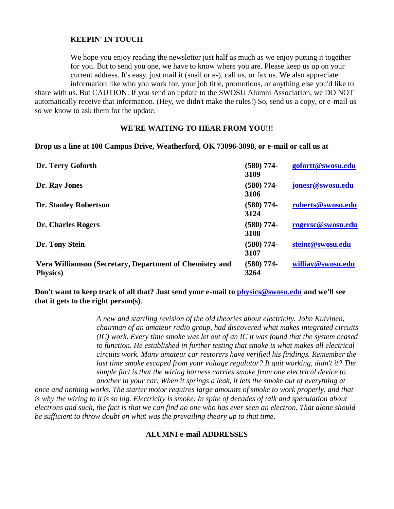#### **KEEPIN' IN TOUCH**

We hope you enjoy reading the newsletter just half as much as we enjoy putting it together for you. But to send you one, we have to know where you are. Please keep us up on your current address. It's easy, just mail it (snail or e-), call us, or fax us. We also appreciate information like who you work for, your job title, promotions, or anything else you'd like to

share with us. But CAUTION: If you send an update to the SWOSU Alumni Association, we DO NOT automatically receive that information. (Hey, we didn't make the rules!) So, send us a copy, or e-mail us so we know to ask them for the update.

#### **WE'RE WAITING TO HEAR FROM YOU!!!**

#### **Drop us a line at 100 Campus Drive, Weatherford, OK 73096-3098, or e-mail or call us at**

| Dr. Terry Goforth                                                           | $(580)$ 774-<br>3109 | gofortt@swosu.edu |
|-----------------------------------------------------------------------------|----------------------|-------------------|
| Dr. Ray Jones                                                               | $(580)$ 774-<br>3106 | jonesr@swosu.edu  |
| <b>Dr. Stanley Robertson</b>                                                | $(580)$ 774-<br>3124 | roberts@swosu.edu |
| <b>Dr. Charles Rogers</b>                                                   | $(580)$ 774-<br>3108 | rogersc@swosu.edu |
| Dr. Tony Stein                                                              | $(580)$ 774-<br>3107 | steint@swosu.edu  |
| Vera Williamson (Secretary, Department of Chemistry and<br><b>Physics</b> ) | $(580)$ 774-<br>3264 | williav@swosu.edu |

**Don't want to keep track of all that? Just send your e-mail to [physics@swosu.edu](mailto:physics@swosu.edu) and we'll see that it gets to the right person(s)**.

> *A new and startling revision of the old theories about electricity. John Kuivinen, chairman of an amateur radio group, had discovered what makes integrated circuits (IC) work. Every time smoke was let out of an IC it was found that the system ceased to function. He established in further testing that smoke is what makes all electrical circuits work. Many amateur car restorers have verified his findings. Remember the last time smoke escaped from your voltage regulator? It quit working, didn't it? The simple fact is that the wiring harness carries smoke from one electrical device to another in your car. When it springs a leak, it lets the smoke out of everything at*

*once and nothing works. The starter motor requires large amounts of smoke to work properly, and that is why the wiring to it is so big. Electricity is smoke. In spite of decades of talk and speculation about electrons and such, the fact is that we can find no one who has ever seen an electron. That alone should be sufficient to throw doubt on what was the prevailing theory up to that time.*

#### **ALUMNI e-mail ADDRESSES**